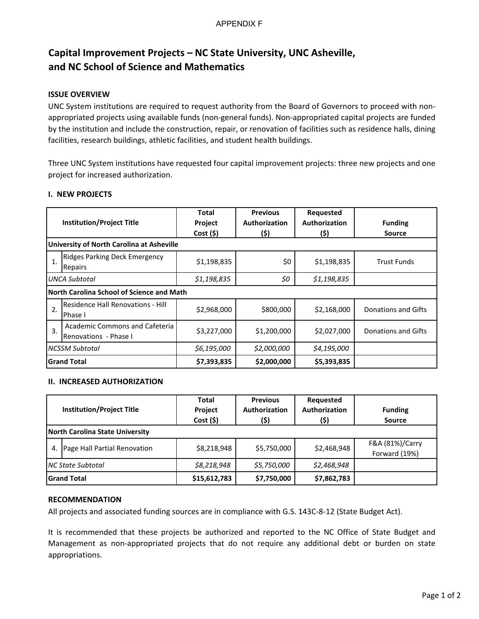# **Capital Improvement Projects – NC State University, UNC Asheville, and NC School of Science and Mathematics**

## **ISSUE OVERVIEW**

UNC System institutions are required to request authority from the Board of Governors to proceed with nonappropriated projects using available funds (non-general funds). Non-appropriated capital projects are funded by the institution and include the construction, repair, or renovation of facilities such as residence halls, dining facilities, research buildings, athletic facilities, and student health buildings.

Three UNC System institutions have requested four capital improvement projects: three new projects and one project for increased authorization.

#### **I. NEW PROJECTS**

| <b>Institution/Project Title</b> |                                                                | <b>Total</b><br>Project<br>$Cost($ \$) | <b>Previous</b><br>Authorization<br>(\$) | Requested<br>Authorization<br>(\$) | <b>Funding</b><br><b>Source</b> |  |  |  |
|----------------------------------|----------------------------------------------------------------|----------------------------------------|------------------------------------------|------------------------------------|---------------------------------|--|--|--|
|                                  | University of North Carolina at Asheville                      |                                        |                                          |                                    |                                 |  |  |  |
| 1.                               | <b>Ridges Parking Deck Emergency</b><br>Repairs                | \$1,198,835                            | \$0                                      | \$1,198,835                        | <b>Trust Funds</b>              |  |  |  |
| UNCA Subtotal                    |                                                                | \$1,198,835                            | \$0                                      | \$1,198,835                        |                                 |  |  |  |
|                                  | North Carolina School of Science and Math                      |                                        |                                          |                                    |                                 |  |  |  |
| 2.                               | Residence Hall Renovations - Hill<br>Phase I                   | \$2,968,000                            | \$800,000                                | \$2,168,000                        | Donations and Gifts             |  |  |  |
| 3.                               | <b>Academic Commons and Cafeteria</b><br>Renovations - Phase I | \$3,227,000                            | \$1,200,000                              | \$2,027,000                        | Donations and Gifts             |  |  |  |
| <b>NCSSM Subtotal</b>            |                                                                | \$6,195,000                            | \$2,000,000                              | \$4,195,000                        |                                 |  |  |  |
| <b>Grand Total</b>               |                                                                | \$7,393,835                            | \$2,000,000                              | \$5,393,835                        |                                 |  |  |  |

#### **II. INCREASED AUTHORIZATION**

| <b>Institution/Project Title</b> |                                        | <b>Total</b><br>Project<br>Cost(5) | <b>Previous</b><br>Authorization<br>(\$) | Requested<br>Authorization<br>(\$) | <b>Funding</b><br><b>Source</b>  |  |  |
|----------------------------------|----------------------------------------|------------------------------------|------------------------------------------|------------------------------------|----------------------------------|--|--|
|                                  | <b>North Carolina State University</b> |                                    |                                          |                                    |                                  |  |  |
| 4.                               | Page Hall Partial Renovation           | \$8,218,948                        | \$5,750,000                              | \$2,468,948                        | F&A (81%)/Carry<br>Forward (19%) |  |  |
| <b>NC State Subtotal</b>         |                                        | \$8,218,948                        | \$5,750,000                              | \$2,468,948                        |                                  |  |  |
| <b>Grand Total</b>               |                                        | \$15,612,783                       | \$7,750,000                              | \$7,862,783                        |                                  |  |  |

#### **RECOMMENDATION**

All projects and associated funding sources are in compliance with G.S. 143C-8-12 (State Budget Act).

It is recommended that these projects be authorized and reported to the NC Office of State Budget and Management as non-appropriated projects that do not require any additional debt or burden on state appropriations.